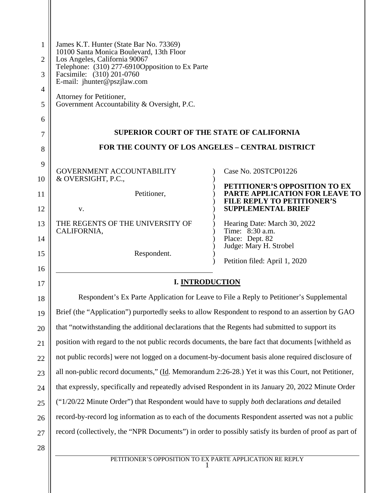| 1<br>2         | James K.T. Hunter (State Bar No. 73369)<br>10100 Santa Monica Boulevard, 13th Floor<br>Los Angeles, California 90067<br>Telephone: (310) 277-6910Opposition to Ex Parte<br>Facsimile: (310) 201-0760<br>E-mail: jhunter@pszjlaw.com<br>Attorney for Petitioner,<br>Government Accountability & Oversight, P.C. |                                                                     |
|----------------|----------------------------------------------------------------------------------------------------------------------------------------------------------------------------------------------------------------------------------------------------------------------------------------------------------------|---------------------------------------------------------------------|
| 3              |                                                                                                                                                                                                                                                                                                                |                                                                     |
| $\overline{4}$ |                                                                                                                                                                                                                                                                                                                |                                                                     |
| 5              |                                                                                                                                                                                                                                                                                                                |                                                                     |
| 6              |                                                                                                                                                                                                                                                                                                                |                                                                     |
| 7              | <b>SUPERIOR COURT OF THE STATE OF CALIFORNIA</b>                                                                                                                                                                                                                                                               |                                                                     |
| 8              | <b>FOR THE COUNTY OF LOS ANGELES - CENTRAL DISTRICT</b>                                                                                                                                                                                                                                                        |                                                                     |
| 9              | <b>GOVERNMENT ACCOUNTABILITY</b>                                                                                                                                                                                                                                                                               | Case No. 20STCP01226                                                |
| 10             | & OVERSIGHT, P.C.,                                                                                                                                                                                                                                                                                             | PETITIONER'S OPPOSITION TO EX                                       |
| 11             | Petitioner,                                                                                                                                                                                                                                                                                                    | PARTE APPLICATION FOR LEAVE TO<br><b>FILE REPLY TO PETITIONER'S</b> |
| 12             | V.                                                                                                                                                                                                                                                                                                             | <b>SUPPLEMENTAL BRIEF</b>                                           |
| 13             | THE REGENTS OF THE UNIVERSITY OF<br>CALIFORNIA,                                                                                                                                                                                                                                                                | Hearing Date: March 30, 2022<br>Time: 8:30 a.m.                     |
| 14             |                                                                                                                                                                                                                                                                                                                | Place: Dept. 82<br>Judge: Mary H. Strobel                           |
| 15<br>16       | Respondent.                                                                                                                                                                                                                                                                                                    | Petition filed: April 1, 2020                                       |
| 17             | <b>I. INTRODUCTION</b>                                                                                                                                                                                                                                                                                         |                                                                     |
| $18\,$         | Respondent's Ex Parte Application for Leave to File a Reply to Petitioner's Supplemental                                                                                                                                                                                                                       |                                                                     |
| 19             | Brief (the "Application") purportedly seeks to allow Respondent to respond to an assertion by GAO                                                                                                                                                                                                              |                                                                     |
| 20             | that "notwithstanding the additional declarations that the Regents had submitted to support its                                                                                                                                                                                                                |                                                                     |
| 21             | position with regard to the not public records documents, the bare fact that documents [withheld as                                                                                                                                                                                                            |                                                                     |
| 22             | not public records] were not logged on a document-by-document basis alone required disclosure of                                                                                                                                                                                                               |                                                                     |
| 23             | all non-public record documents," (Id. Memorandum 2:26-28.) Yet it was this Court, not Petitioner,                                                                                                                                                                                                             |                                                                     |
| 24             | that expressly, specifically and repeatedly advised Respondent in its January 20, 2022 Minute Order                                                                                                                                                                                                            |                                                                     |
| 25             | ("1/20/22 Minute Order") that Respondent would have to supply both declarations and detailed                                                                                                                                                                                                                   |                                                                     |
| 26             | record-by-record log information as to each of the documents Respondent asserted was not a public                                                                                                                                                                                                              |                                                                     |
| 27             | record (collectively, the "NPR Documents") in order to possibly satisfy its burden of proof as part of                                                                                                                                                                                                         |                                                                     |
| 28             |                                                                                                                                                                                                                                                                                                                |                                                                     |
|                | PETITIONER'S OPPOSITION TO EX PARTE APPLICATION RE REPLY                                                                                                                                                                                                                                                       |                                                                     |

 $\parallel$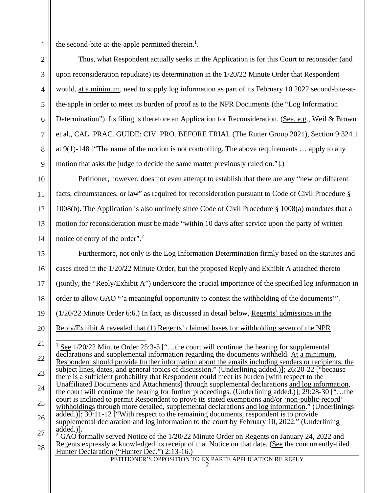the second-bite-at-the-apple permitted therein.<sup>1</sup>.

Thus, what Respondent actually seeks in the Application is for this Court to reconsider (and upon reconsideration repudiate) its determination in the 1/20/22 Minute Order that Respondent would, at a minimum, need to supply log information as part of its February 10 2022 second-bite-atthe-apple in order to meet its burden of proof as to the NPR Documents (the "Log Information Determination"). Its filing is therefore an Application for Reconsideration. (See, e.g., Weil & Brown et al., CAL. PRAC. GUIDE: CIV. PRO. BEFORE TRIAL (The Rutter Group 2021), Section 9:324.1 at 9(1)-148 ["The name of the motion is not controlling. The above requirements … apply to any motion that asks the judge to decide the same matter previously ruled on."].)

Petitioner, however, does not even attempt to establish that there are any "new or different facts, circumstances, or law" as required for reconsideration pursuant to Code of Civil Procedure § 1008(b). The Application is also untimely since Code of Civil Procedure § 1008(a) mandates that a motion for reconsideration must be made "within 10 days after service upon the party of written notice of entry of the order".<sup>2</sup>

15 16 17 18 19 20 21 22 23 24 25 Furthermore, not only is the Log Information Determination firmly based on the statutes and cases cited in the 1/20/22 Minute Order, but the proposed Reply and Exhibit A attached thereto (jointly, the "Reply/Exhibit A") underscore the crucial importance of the specified log information in order to allow GAO "'a meaningful opportunity to contest the withholding of the documents'". (1/20/22 Minute Order 6:6.) In fact, as discussed in detail below, Regents' admissions in the Reply/Exhibit A revealed that (1) Regents' claimed bases for withholding seven of the NPR  $1$  See 1/20/22 Minute Order 25:3-5 ["...the court will continue the hearing for supplemental declarations and supplemental information regarding the documents withheld. At a minimum, Respondent should provide further information about the emails including senders or recipients, the subject lines, dates, and general topics of discussion." (Underlining added.)]; 26:20-22 ["because there is a sufficient probability that Respondent could meet its burden [with respect to the Unaffiliated Documents and Attachments] through supplemental declarations and log information, the court will continue the hearing for further proceedings. (Underlining added.)]; 29:28-30 ["…the court is inclined to permit Respondent to prove its stated exemptions and/or 'non-public-record' withholdings through more detailed, supplemental declarations and log information." (Underlinings

1

2

3

4

5

6

7

8

9

12

13

<sup>26</sup>  27 added.)]; 30:11-12 ["With respect to the remaining documents, respondent is to provide supplemental declaration and log information to the court by February 10, 2022." (Underlining added.)].

<sup>28</sup>  <sup>2</sup> GAO formally served Notice of the 1/20/22 Minute Order on Regents on January 24, 2022 and Regents expressly acknowledged its receipt of that Notice on that date. (See the concurrently-filed Hunter Declaration ("Hunter Dec.") 2:13-16.)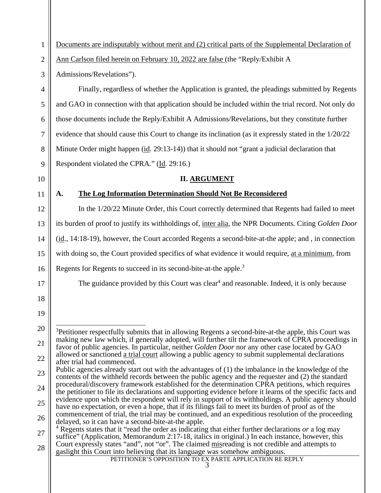1 2 3 4 5 6 7 8 9 10 11 12 13 14 15 16 17 18 19 20 21 22 23 24 25 26 27 28 PETITIONER'S OPPOSITION TO EX PARTE APPLICATION RE REPLY 3 Documents are indisputably without merit and (2) critical parts of the Supplemental Declaration of Ann Carlson filed herein on February 10, 2022 are false (the "Reply/Exhibit A Admissions/Revelations"). Finally, regardless of whether the Application is granted, the pleadings submitted by Regents and GAO in connection with that application should be included within the trial record. Not only do those documents include the Reply/Exhibit A Admissions/Revelations, but they constitute further evidence that should cause this Court to change its inclination (as it expressly stated in the 1/20/22 Minute Order might happen (id. 29:13-14)) that it should not "grant a judicial declaration that Respondent violated the CPRA." (Id. 29:16.) **II. ARGUMENT A. The Log Information Determination Should Not Be Reconsidered** In the 1/20/22 Minute Order, this Court correctly determined that Regents had failed to meet its burden of proof to justify its withholdings of, inter alia, the NPR Documents. Citing *Golden Door* (id., 14:18-19), however, the Court accorded Regents a second-bite-at-the apple; and , in connection with doing so, the Court provided specifics of what evidence it would require, at a minimum, from Regents for Regents to succeed in its second-bite-at-the apple.<sup>3</sup> The guidance provided by this Court was clear<sup>4</sup> and reasonable. Indeed, it is only because <sup>3</sup>Petitioner respectfully submits that in allowing Regents a second-bite-at-the apple, this Court was making new law which, if generally adopted, will further tilt the framework of CPRA proceedings in favor of public agencies. In particular, neither *Golden Door* nor any other case located by GAO allowed or sanctioned a trial court allowing a public agency to submit supplemental declarations after trial had commenced. Public agencies already start out with the advantages of (1) the imbalance in the knowledge of the contents of the withheld records between the public agency and the requester and (2) the standard procedural/discovery framework established for the determination CPRA petitions, which requires the petitioner to file its declarations and supporting evidence before it learns of the specific facts and evidence upon which the respondent will rely in support of its withholdings. A public agency should have no expectation, or even a hope, that if its filings fail to meet its burden of proof as of the commencement of trial, the trial may be continued, and an expeditious resolution of the proceeding delayed, so it can have a second-bite-at-the apple. 4 Regents states that it "read the order as indicating that either further declarations *or* a log may suffice" (Application, Memorandum 2:17-18, italics in original.) In each instance, however, this Court expressly states "and", not "or". The claimed misreading is not credible and attempts to gaslight this Court into believing that its language was somehow ambiguous.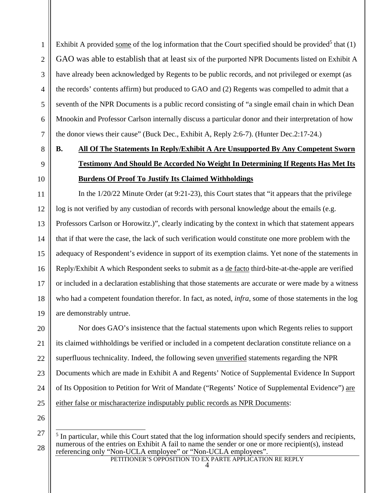Exhibit A provided some of the log information that the Court specified should be provided<sup>5</sup> that  $(1)$ GAO was able to establish that at least six of the purported NPR Documents listed on Exhibit A have already been acknowledged by Regents to be public records, and not privileged or exempt (as the records' contents affirm) but produced to GAO and (2) Regents was compelled to admit that a seventh of the NPR Documents is a public record consisting of "a single email chain in which Dean Mnookin and Professor Carlson internally discuss a particular donor and their interpretation of how the donor views their cause" (Buck Dec., Exhibit A, Reply 2:6-7). (Hunter Dec.2:17-24.)

## **B. All Of The Statements In Reply/Exhibit A Are Unsupported By Any Competent Sworn Testimony And Should Be Accorded No Weight In Determining If Regents Has Met Its Burdens Of Proof To Justify Its Claimed Withholdings**

In the 1/20/22 Minute Order (at 9:21-23), this Court states that "it appears that the privilege log is not verified by any custodian of records with personal knowledge about the emails (e.g. Professors Carlson or Horowitz.)", clearly indicating by the context in which that statement appears that if that were the case, the lack of such verification would constitute one more problem with the adequacy of Respondent's evidence in support of its exemption claims. Yet none of the statements in Reply/Exhibit A which Respondent seeks to submit as a de facto third-bite-at-the-apple are verified or included in a declaration establishing that those statements are accurate or were made by a witness who had a competent foundation therefor. In fact, as noted, *infra*, some of those statements in the log are demonstrably untrue.

20 21 22 23 24 25 Nor does GAO's insistence that the factual statements upon which Regents relies to support its claimed withholdings be verified or included in a competent declaration constitute reliance on a superfluous technicality. Indeed, the following seven unverified statements regarding the NPR Documents which are made in Exhibit A and Regents' Notice of Supplemental Evidence In Support of Its Opposition to Petition for Writ of Mandate ("Regents' Notice of Supplemental Evidence") are either false or mischaracterize indisputably public records as NPR Documents:

26

27

28

1

2

3

4

5

6

7

8

9

10

11

12

13

14

15

16

17

18

<sup>&</sup>lt;sup>5</sup> In particular, while this Court stated that the log information should specify senders and recipients, numerous of the entries on Exhibit A fail to name the sender or one or more recipient(s), instead referencing only "Non-UCLA employee" or "Non-UCLA employees".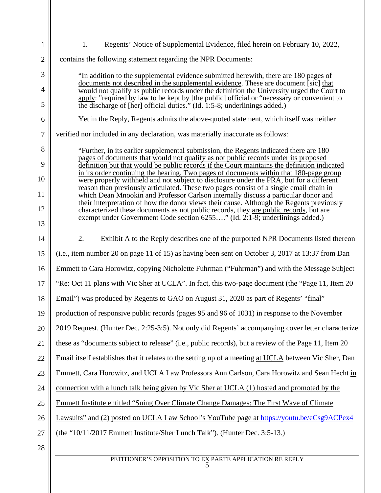| $\mathbf{1}$   | Regents' Notice of Supplemental Evidence, filed herein on February 10, 2022,<br>1.                                                                                                                                                                                               |  |
|----------------|----------------------------------------------------------------------------------------------------------------------------------------------------------------------------------------------------------------------------------------------------------------------------------|--|
| $\overline{2}$ | contains the following statement regarding the NPR Documents:                                                                                                                                                                                                                    |  |
| 3              | "In addition to the supplemental evidence submitted herewith, there are 180 pages of                                                                                                                                                                                             |  |
| $\overline{4}$ | documents not described in the supplemental evidence. These are document [sic] that<br>would not qualify as public records under the definition the University urged the Court to<br>apply: "required by law to be kept by [the public] official or "necessary or convenient to  |  |
| 5              | the discharge of [her] official duties." (Id. 1:5-8; underlinings added.)                                                                                                                                                                                                        |  |
| 6              | Yet in the Reply, Regents admits the above-quoted statement, which itself was neither                                                                                                                                                                                            |  |
| $\overline{7}$ | verified nor included in any declaration, was materially inaccurate as follows:                                                                                                                                                                                                  |  |
| 8              | "Further, in its earlier supplemental submission, the Regents indicated there are 180<br>pages of documents that would not qualify as not public records under its proposed                                                                                                      |  |
| 9<br>10        | definition but that would be public records if the Court maintains the definition indicated<br>in its order continuing the hearing. Two pages of documents within that 180-page group<br>were properly withheld and not subject to disclosure under the PRA, but for a different |  |
| 11             | reason than previously articulated. These two pages consist of a single email chain in<br>which Dean Mnookin and Professor Carlson internally discuss a particular donor and                                                                                                     |  |
| 12             | their interpretation of how the donor views their cause. Although the Regents previously<br>characterized these documents as not public records, they are public records, but are                                                                                                |  |
| 13             | exempt under Government Code section 6255" (Id. 2:1-9; underlinings added.)                                                                                                                                                                                                      |  |
| 14             | 2.<br>Exhibit A to the Reply describes one of the purported NPR Documents listed thereon                                                                                                                                                                                         |  |
| 15             | (i.e., item number 20 on page 11 of 15) as having been sent on October 3, 2017 at 13:37 from Dan                                                                                                                                                                                 |  |
| 16             | Emmett to Cara Horowitz, copying Nicholette Fuhrman ("Fuhrman") and with the Message Subject                                                                                                                                                                                     |  |
| 17             | "Re: Oct 11 plans with Vic Sher at UCLA". In fact, this two-page document (the "Page 11, Item 20                                                                                                                                                                                 |  |
| 18             | Email") was produced by Regents to GAO on August 31, 2020 as part of Regents' "final"                                                                                                                                                                                            |  |
| 19             | production of responsive public records (pages 95 and 96 of 1031) in response to the November                                                                                                                                                                                    |  |
| 20             | 2019 Request. (Hunter Dec. 2:25-3:5). Not only did Regents' accompanying cover letter characterize                                                                                                                                                                               |  |
| 21             | these as "documents subject to release" (i.e., public records), but a review of the Page 11, Item 20                                                                                                                                                                             |  |
| 22             | Email itself establishes that it relates to the setting up of a meeting at UCLA between Vic Sher, Dan                                                                                                                                                                            |  |
| 23             | Emmett, Cara Horowitz, and UCLA Law Professors Ann Carlson, Cara Horowitz and Sean Hecht in                                                                                                                                                                                      |  |
| 24             | connection with a lunch talk being given by Vic Sher at UCLA (1) hosted and promoted by the                                                                                                                                                                                      |  |
| 25             | Emmett Institute entitled "Suing Over Climate Change Damages: The First Wave of Climate                                                                                                                                                                                          |  |
| 26             | Lawsuits" and (2) posted on UCLA Law School's YouTube page at https://youtu.be/eCsg9ACPex4                                                                                                                                                                                       |  |
| 27             | (the "10/11/2017 Emmett Institute/Sher Lunch Talk"). (Hunter Dec. 3:5-13.)                                                                                                                                                                                                       |  |
| 28             |                                                                                                                                                                                                                                                                                  |  |
|                | PETITIONER'S OPPOSITION TO EX PARTE APPLICATION RE REPLY<br>5                                                                                                                                                                                                                    |  |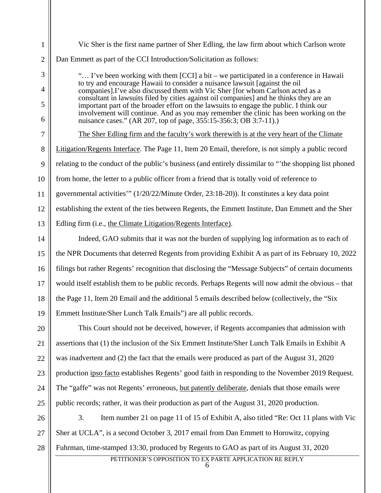1 2 3 4 5 6 7 8 9 10 11 12 13 14 15 16 17 18 19 20 21 22 23 24 25 26 27 28 Vic Sher is the first name partner of Sher Edling, the law firm about which Carlson wrote Dan Emmett as part of the CCI Introduction/Solicitation as follows: "… I've been working with them [CCI] a bit – we participated in a conference in Hawaii to try and encourage Hawaii to consider a nuisance lawsuit [against the oil companies].I've also discussed them with Vic Sher [for whom Carlson acted as a consultant in lawsuits filed by cities against oil companies] and he thinks they are an important part of the broader effort on the lawsuits to engage the public. I think our involvement will continue. And as you may remember the clinic has been working on the nuisance cases." (AR 207, top of page, 355:15-356:3; OB 3:7-11).) The Sher Edling firm and the faculty's work therewith is at the very heart of the Climate Litigation/Regents Interface. The Page 11, Item 20 Email, therefore, is not simply a public record relating to the conduct of the public's business (and entirely dissimilar to "'the shopping list phoned from home, the letter to a public officer from a friend that is totally void of reference to governmental activities'" (1/20/22/Minute Order, 23:18-20)). It constitutes a key data point establishing the extent of the ties between Regents, the Emmett Institute, Dan Emmett and the Sher Edling firm (i.e., the Climate Litigation/Regents Interface). Indeed, GAO submits that it was not the burden of supplying log information as to each of the NPR Documents that deterred Regents from providing Exhibit A as part of its February 10, 2022 filings but rather Regents' recognition that disclosing the "Message Subjects" of certain documents would itself establish them to be public records. Perhaps Regents will now admit the obvious – that the Page 11, Item 20 Email and the additional 5 emails described below (collectively, the "Six Emmett Institute/Sher Lunch Talk Emails") are all public records. This Court should not be deceived, however, if Regents accompanies that admission with assertions that (1) the inclusion of the Six Emmett Institute/Sher Lunch Talk Emails in Exhibit A was inadvertent and (2) the fact that the emails were produced as part of the August 31, 2020 production ipso facto establishes Regents' good faith in responding to the November 2019 Request. The "gaffe" was not Regents' erroneous, but patently deliberate, denials that those emails were public records; rather, it was their production as part of the August 31, 2020 production. 3. Item number 21 on page 11 of 15 of Exhibit A, also titled "Re: Oct 11 plans with Vic Sher at UCLA", is a second October 3, 2017 email from Dan Emmett to Horowitz, copying Fuhrman, time-stamped 13:30, produced by Regents to GAO as part of its August 31, 2020

PETITIONER'S OPPOSITION TO EX PARTE APPLICATION RE REPLY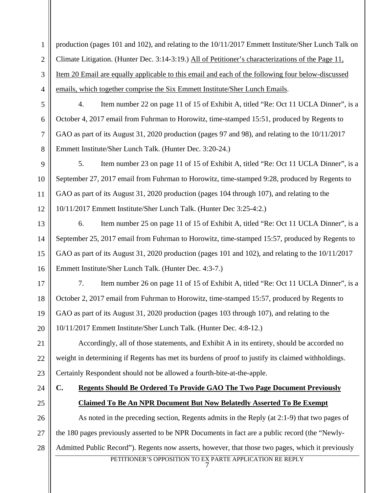1 2 production (pages 101 and 102), and relating to the 10/11/2017 Emmett Institute/Sher Lunch Talk on Climate Litigation. (Hunter Dec. 3:14-3:19.) All of Petitioner's characterizations of the Page 11, Item 20 Email are equally applicable to this email and each of the following four below-discussed emails, which together comprise the Six Emmett Institute/Sher Lunch Emails.

4. Item number 22 on page 11 of 15 of Exhibit A, titled "Re: Oct 11 UCLA Dinner", is a October 4, 2017 email from Fuhrman to Horowitz, time-stamped 15:51, produced by Regents to GAO as part of its August 31, 2020 production (pages 97 and 98), and relating to the 10/11/2017 Emmett Institute/Sher Lunch Talk. (Hunter Dec. 3:20-24.)

5. Item number 23 on page 11 of 15 of Exhibit A, titled "Re: Oct 11 UCLA Dinner", is a September 27, 2017 email from Fuhrman to Horowitz, time-stamped 9:28, produced by Regents to GAO as part of its August 31, 2020 production (pages 104 through 107), and relating to the 10/11/2017 Emmett Institute/Sher Lunch Talk. (Hunter Dec 3:25-4:2.)

6. Item number 25 on page 11 of 15 of Exhibit A, titled "Re: Oct 11 UCLA Dinner", is a September 25, 2017 email from Fuhrman to Horowitz, time-stamped 15:57, produced by Regents to GAO as part of its August 31, 2020 production (pages 101 and 102), and relating to the 10/11/2017 Emmett Institute/Sher Lunch Talk. (Hunter Dec. 4:3-7.)

7. Item number 26 on page 11 of 15 of Exhibit A, titled "Re: Oct 11 UCLA Dinner", is a October 2, 2017 email from Fuhrman to Horowitz, time-stamped 15:57, produced by Regents to GAO as part of its August 31, 2020 production (pages 103 through 107), and relating to the 10/11/2017 Emmett Institute/Sher Lunch Talk. (Hunter Dec. 4:8-12.)

Accordingly, all of those statements, and Exhibit A in its entirety, should be accorded no weight in determining if Regents has met its burdens of proof to justify its claimed withholdings. Certainly Respondent should not be allowed a fourth-bite-at-the-apple.

## **C. Regents Should Be Ordered To Provide GAO The Two Page Document Previously Claimed To Be An NPR Document But Now Belatedly Asserted To Be Exempt**

28 As noted in the preceding section, Regents admits in the Reply (at 2:1-9) that two pages of the 180 pages previously asserted to be NPR Documents in fact are a public record (the "Newly-Admitted Public Record"). Regents now asserts, however, that those two pages, which it previously

> PETITIONER'S OPPOSITION TO EX PARTE APPLICATION RE REPLY 7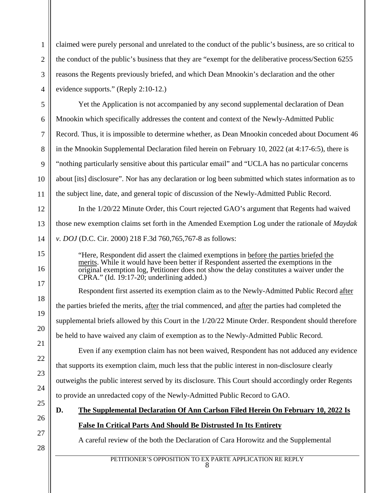claimed were purely personal and unrelated to the conduct of the public's business, are so critical to the conduct of the public's business that they are "exempt for the deliberative process/Section 6255 reasons the Regents previously briefed, and which Dean Mnookin's declaration and the other evidence supports." (Reply 2:10-12.)

Yet the Application is not accompanied by any second supplemental declaration of Dean Mnookin which specifically addresses the content and context of the Newly-Admitted Public Record. Thus, it is impossible to determine whether, as Dean Mnookin conceded about Document 46 in the Mnookin Supplemental Declaration filed herein on February 10, 2022 (at 4:17-6:5), there is "nothing particularly sensitive about this particular email" and "UCLA has no particular concerns about [its] disclosure". Nor has any declaration or log been submitted which states information as to the subject line, date, and general topic of discussion of the Newly-Admitted Public Record.

In the 1/20/22 Minute Order, this Court rejected GAO's argument that Regents had waived those new exemption claims set forth in the Amended Exemption Log under the rationale of *Maydak v. DOJ* (D.C. Cir. 2000) 218 F.3d 760,765,767-8 as follows:

"Here, Respondent did assert the claimed exemptions in before the parties briefed the merits. While it would have been better if Respondent asserted the exemptions in the original exemption log, Petitioner does not show the delay constitutes a waiver under the  $CPRA$ ." (Id. 19:17-20; underlining added.)

Respondent first asserted its exemption claim as to the Newly-Admitted Public Record after the parties briefed the merits, after the trial commenced, and after the parties had completed the supplemental briefs allowed by this Court in the 1/20/22 Minute Order. Respondent should therefore be held to have waived any claim of exemption as to the Newly-Admitted Public Record.

Even if any exemption claim has not been waived, Respondent has not adduced any evidence that supports its exemption claim, much less that the public interest in non-disclosure clearly outweighs the public interest served by its disclosure. This Court should accordingly order Regents to provide an unredacted copy of the Newly-Admitted Public Record to GAO.

- **D. The Supplemental Declaration Of Ann Carlson Filed Herein On February 10, 2022 Is False In Critical Parts And Should Be Distrusted In Its Entirety**
	- A careful review of the both the Declaration of Cara Horowitz and the Supplemental

28

1

2

3

4

5

6

7

8

9

10

11

12

13

14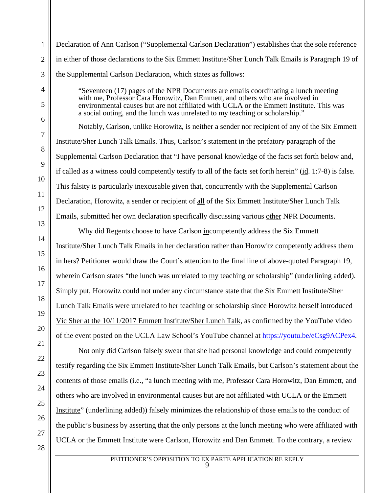Declaration of Ann Carlson ("Supplemental Carlson Declaration") establishes that the sole reference in either of those declarations to the Six Emmett Institute/Sher Lunch Talk Emails is Paragraph 19 of the Supplemental Carlson Declaration, which states as follows:

"Seventeen (17) pages of the NPR Documents are emails coordinating a lunch meeting with me, Professor Cara Horowitz, Dan Emmett, and others who are involved in environmental causes but are not affiliated with UCLA or the Emmett Institute. This was a social outing, and the lunch was unrelated to my teaching or scholarship."

Notably, Carlson, unlike Horowitz, is neither a sender nor recipient of any of the Six Emmett Institute/Sher Lunch Talk Emails. Thus, Carlson's statement in the prefatory paragraph of the Supplemental Carlson Declaration that "I have personal knowledge of the facts set forth below and, if called as a witness could competently testify to all of the facts set forth herein" (id. 1:7-8) is false. This falsity is particularly inexcusable given that, concurrently with the Supplemental Carlson Declaration, Horowitz, a sender or recipient of all of the Six Emmett Institute/Sher Lunch Talk Emails, submitted her own declaration specifically discussing various other NPR Documents.

Why did Regents choose to have Carlson incompetently address the Six Emmett Institute/Sher Lunch Talk Emails in her declaration rather than Horowitz competently address them in hers? Petitioner would draw the Court's attention to the final line of above-quoted Paragraph 19, wherein Carlson states "the lunch was unrelated to my teaching or scholarship" (underlining added). Simply put, Horowitz could not under any circumstance state that the Six Emmett Institute/Sher Lunch Talk Emails were unrelated to her teaching or scholarship since Horowitz herself introduced Vic Sher at the 10/11/2017 Emmett Institute/Sher Lunch Talk, as confirmed by the YouTube video of the event posted on the UCLA Law School's YouTube channel at https://youtu.be/eCsg9ACPex4*.*

Not only did Carlson falsely swear that she had personal knowledge and could competently testify regarding the Six Emmett Institute/Sher Lunch Talk Emails, but Carlson's statement about the contents of those emails (i.e., "a lunch meeting with me, Professor Cara Horowitz, Dan Emmett, and others who are involved in environmental causes but are not affiliated with UCLA or the Emmett Institute" (underlining added)) falsely minimizes the relationship of those emails to the conduct of the public's business by asserting that the only persons at the lunch meeting who were affiliated with UCLA or the Emmett Institute were Carlson, Horowitz and Dan Emmett. To the contrary, a review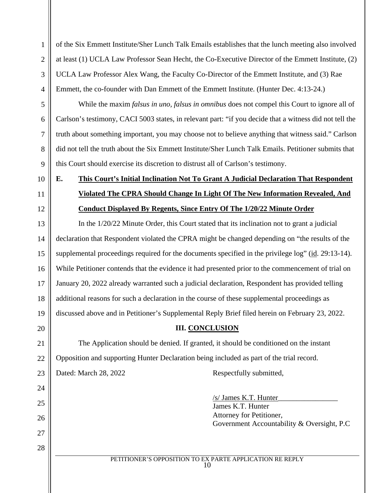of the Six Emmett Institute/Sher Lunch Talk Emails establishes that the lunch meeting also involved at least (1) UCLA Law Professor Sean Hecht, the Co-Executive Director of the Emmett Institute, (2) UCLA Law Professor Alex Wang, the Faculty Co-Director of the Emmett Institute, and (3) Rae Emmett, the co-founder with Dan Emmett of the Emmett Institute. (Hunter Dec. 4:13-24.)

While the maxim *falsus in uno, falsus in omnibus* does not compel this Court to ignore all of Carlson's testimony, CACI 5003 states, in relevant part: "if you decide that a witness did not tell the truth about something important, you may choose not to believe anything that witness said." Carlson did not tell the truth about the Six Emmett Institute/Sher Lunch Talk Emails. Petitioner submits that this Court should exercise its discretion to distrust all of Carlson's testimony.

10

1

2

3

4

5

6

7

8

9

11

12

20

21

22

23

24

25

26

27

28

## **E. This Court's Initial Inclination Not To Grant A Judicial Declaration That Respondent Violated The CPRA Should Change In Light Of The New Information Revealed, And Conduct Displayed By Regents, Since Entry Of The 1/20/22 Minute Order**

13 14 15 16 17 18 19 In the 1/20/22 Minute Order, this Court stated that its inclination not to grant a judicial declaration that Respondent violated the CPRA might be changed depending on "the results of the supplemental proceedings required for the documents specified in the privilege log" (id. 29:13-14). While Petitioner contends that the evidence it had presented prior to the commencement of trial on January 20, 2022 already warranted such a judicial declaration, Respondent has provided telling additional reasons for such a declaration in the course of these supplemental proceedings as discussed above and in Petitioner's Supplemental Reply Brief filed herein on February 23, 2022.

## **III. CONCLUSION**

The Application should be denied. If granted, it should be conditioned on the instant Opposition and supporting Hunter Declaration being included as part of the trial record.

Dated: March 28, 2022 Respectfully submitted,

/s/ James K.T. Hunter\_\_\_\_\_\_\_\_\_\_\_\_\_\_\_\_ James K.T. Hunter Attorney for Petitioner, Government Accountability & Oversight, P.C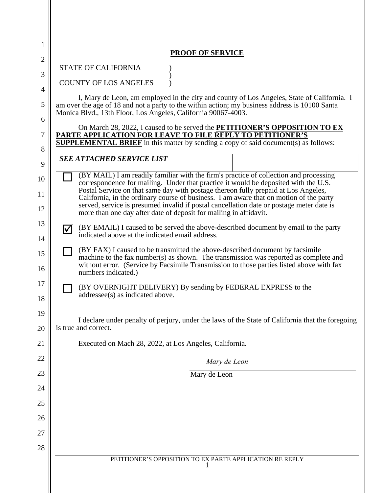| 1              |                                                                                                                                                                                                                                                                                          |  |  |
|----------------|------------------------------------------------------------------------------------------------------------------------------------------------------------------------------------------------------------------------------------------------------------------------------------------|--|--|
| $\mathbf{2}$   | <b>PROOF OF SERVICE</b>                                                                                                                                                                                                                                                                  |  |  |
| 3              | <b>STATE OF CALIFORNIA</b>                                                                                                                                                                                                                                                               |  |  |
| $\overline{4}$ | <b>COUNTY OF LOS ANGELES</b>                                                                                                                                                                                                                                                             |  |  |
| 5              | I, Mary de Leon, am employed in the city and county of Los Angeles, State of California. I<br>am over the age of 18 and not a party to the within action; my business address is 10100 Santa<br>Monica Blvd., 13th Floor, Los Angeles, California 90067-4003.                            |  |  |
| 6<br>7         | On March 28, 2022, I caused to be served the <b>PETITIONER'S OPPOSITION TO EX</b>                                                                                                                                                                                                        |  |  |
| 8              | PARTE APPLICATION FOR LEAVE TO FILE REPLY TO PETITIONER'S<br><b>SUPPLEMENTAL BRIEF</b> in this matter by sending a copy of said document(s) as follows:                                                                                                                                  |  |  |
| 9              | <b>SEE ATTACHED SERVICE LIST</b>                                                                                                                                                                                                                                                         |  |  |
| 10             | (BY MAIL) I am readily familiar with the firm's practice of collection and processing                                                                                                                                                                                                    |  |  |
| 11             | correspondence for mailing. Under that practice it would be deposited with the U.S.<br>Postal Service on that same day with postage thereon fully prepaid at Los Angeles,                                                                                                                |  |  |
| 12             | California, in the ordinary course of business. I am aware that on motion of the party<br>served, service is presumed invalid if postal cancellation date or postage meter date is<br>more than one day after date of deposit for mailing in affidavit.                                  |  |  |
| 13<br>14       | (BY EMAIL) I caused to be served the above-described document by email to the party<br>M<br>indicated above at the indicated email address.                                                                                                                                              |  |  |
| 15<br>16       | (BY FAX) I caused to be transmitted the above-described document by facsimile<br>machine to the fax number(s) as shown. The transmission was reported as complete and<br>without error. (Service by Facsimile Transmission to those parties listed above with fax<br>numbers indicated.) |  |  |
| 17<br>18       | (BY OVERNIGHT DELIVERY) By sending by FEDERAL EXPRESS to the<br>addressee(s) as indicated above.                                                                                                                                                                                         |  |  |
| 19             |                                                                                                                                                                                                                                                                                          |  |  |
| 20             | I declare under penalty of perjury, under the laws of the State of California that the foregoing<br>is true and correct.                                                                                                                                                                 |  |  |
| 21             | Executed on Mach 28, 2022, at Los Angeles, California.                                                                                                                                                                                                                                   |  |  |
| 22             | Mary de Leon                                                                                                                                                                                                                                                                             |  |  |
| 23             | Mary de Leon                                                                                                                                                                                                                                                                             |  |  |
| 24             |                                                                                                                                                                                                                                                                                          |  |  |
| 25             |                                                                                                                                                                                                                                                                                          |  |  |
| 26             |                                                                                                                                                                                                                                                                                          |  |  |
| 27             |                                                                                                                                                                                                                                                                                          |  |  |
| 28             |                                                                                                                                                                                                                                                                                          |  |  |
|                | PETITIONER'S OPPOSITION TO EX PARTE APPLICATION RE REPLY                                                                                                                                                                                                                                 |  |  |
|                |                                                                                                                                                                                                                                                                                          |  |  |
|                |                                                                                                                                                                                                                                                                                          |  |  |